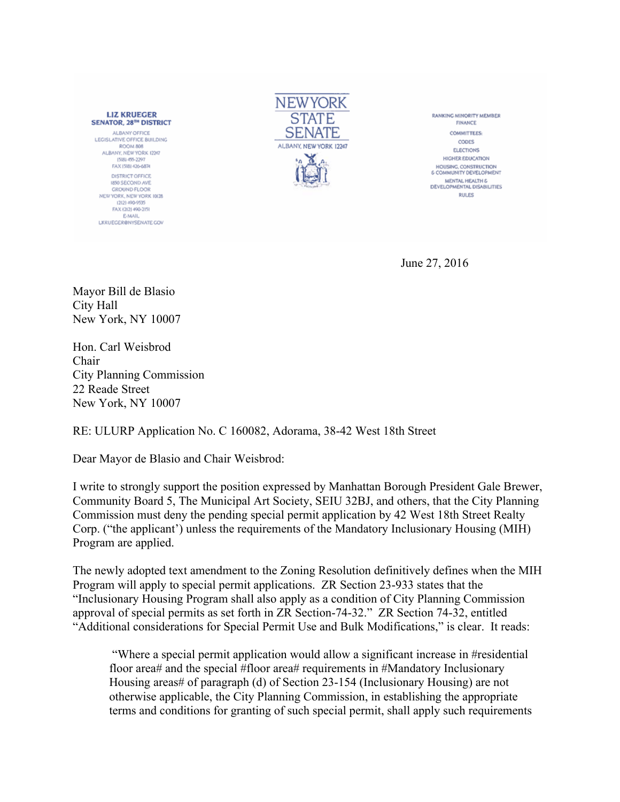**LIZ KRUEGER SENATOR, 28TH DISTRICT** ALBANY OFFICE LEGISLATIVE OFFICE BUILDING ROOM 808 ALBANY, NEW YORK 12247 (518) 455-2297 FAX (518) 426-6874 DISTRICT OFFICE **1850 SECOND AVE** GROUND FLOOR<br>NEW YORK, NEW YORK 10128 12121-000-0535 FAX (212) 490-2151 **E-MAIL** LKRUEGER@NYSENATE.COV



**RANKING MINORITY MEMBER** FINANCE **COMMITTEES** CODES **ELECTIONS HIGHER EDUCATION** HOUSING, CONSTRUCTION **6 COMMUNITY DEVELOPMENT** MENTAL HEALTH & DEVELOPMENTAL DISABILITIES **RULES** 

June 27, 2016

Mayor Bill de Blasio City Hall New York, NY 10007

Hon. Carl Weisbrod Chair City Planning Commission 22 Reade Street New York, NY 10007

RE: ULURP Application No. C 160082, Adorama, 38-42 West 18th Street

Dear Mayor de Blasio and Chair Weisbrod:

I write to strongly support the position expressed by Manhattan Borough President Gale Brewer, Community Board 5, The Municipal Art Society, SEIU 32BJ, and others, that the City Planning Commission must deny the pending special permit application by 42 West 18th Street Realty Corp. ("the applicant') unless the requirements of the Mandatory Inclusionary Housing (MIH) Program are applied.

The newly adopted text amendment to the Zoning Resolution definitively defines when the MIH Program will apply to special permit applications. ZR Section 23-933 states that the "Inclusionary Housing Program shall also apply as a condition of City Planning Commission approval of special permits as set forth in ZR Section-74-32." ZR Section 74-32, entitled "Additional considerations for Special Permit Use and Bulk Modifications," is clear. It reads:

"Where a special permit application would allow a significant increase in #residential floor area# and the special #floor area# requirements in #Mandatory Inclusionary Housing areas# of paragraph (d) of Section 23-154 (Inclusionary Housing) are not otherwise applicable, the City Planning Commission, in establishing the appropriate terms and conditions for granting of such special permit, shall apply such requirements